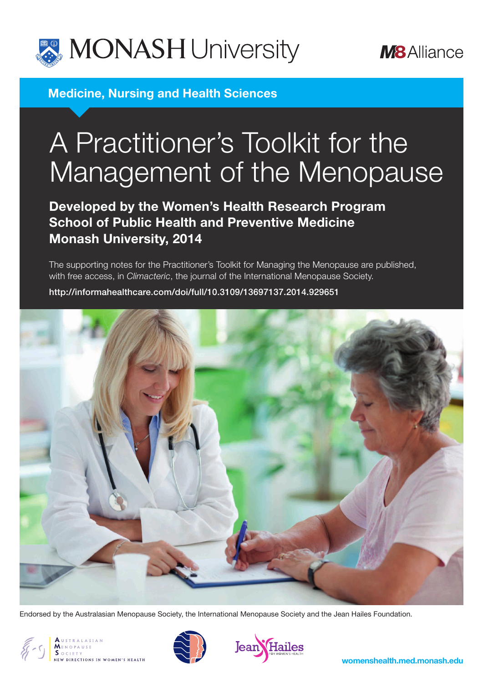



**Medicine, Nursing and Health Sciences**

# A Practitioner's Toolkit for the Management of the Menopause

**Developed by the Women's Health Research Program School of Public Health and Preventive Medicine Monash University, 2014**

The supporting notes for the Practitioner's Toolkit for Managing the Menopause are published, with free access, in *Climacteric*, the journal of the International Menopause Society.

<http://informahealthcare.com/doi/full/10.3109/13697137.2014.929651>



Endorsed by the Australasian Menopause Society, the International Menopause Society and the Jean Hailes Foundation.



CONSUSTRALASIAN



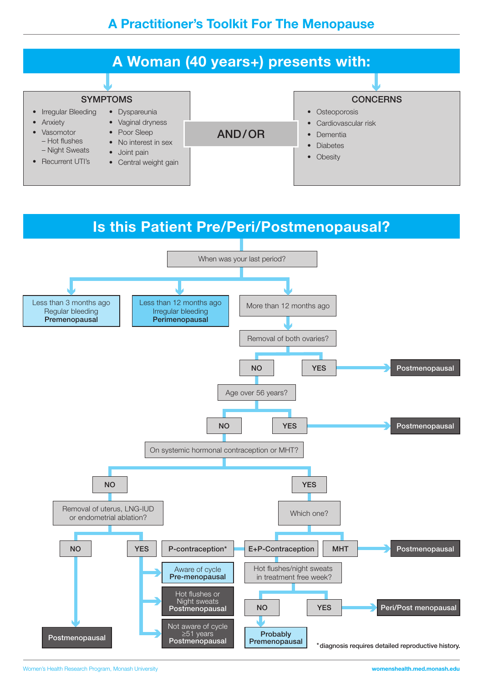

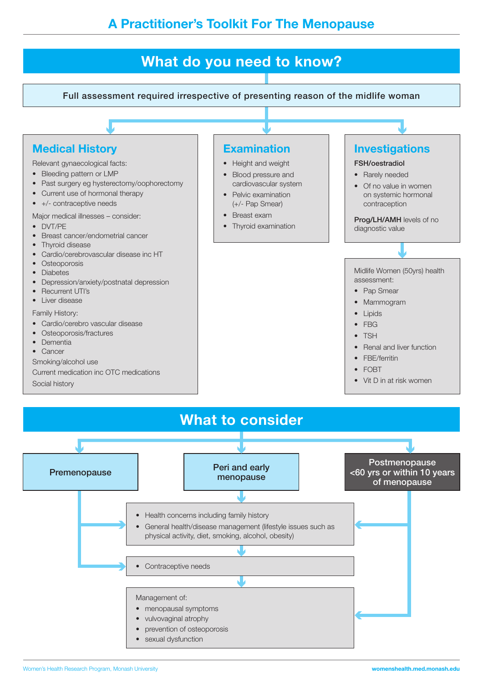

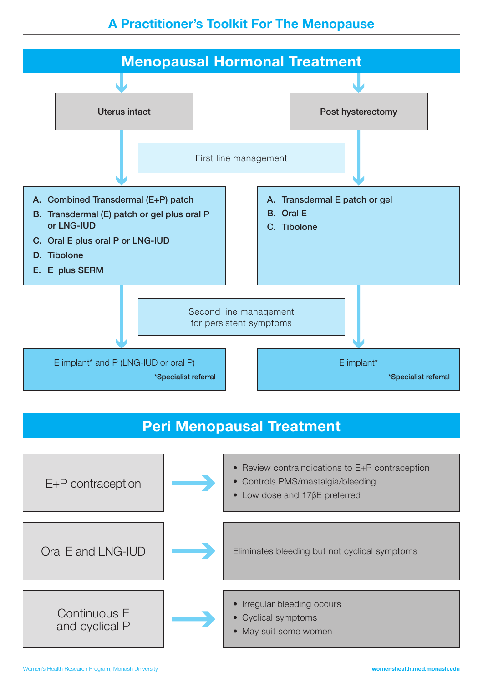# **A Practitioner's Toolkit For The Menopause**



# **Peri Menopausal Treatment**



Women's Health Research Program, Monash University **womenshealth.med.monash.edu**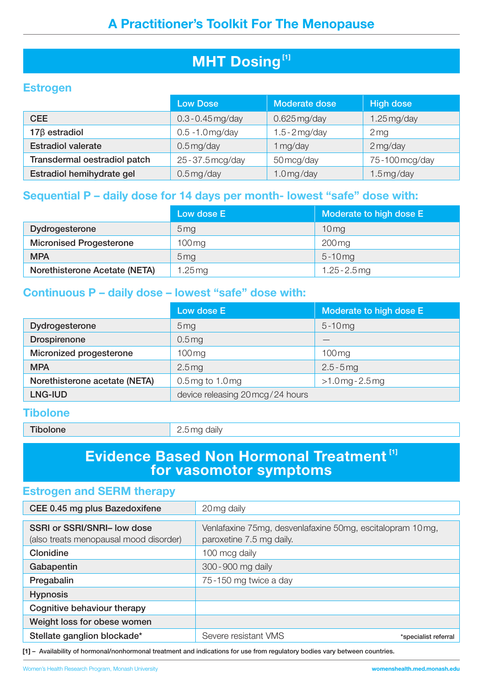# **MHT Dosing**<sup>[1]</sup>

#### **Estrogen**

|                              | <b>Low Dose</b>         | Moderate dose    | <b>High dose</b>  |
|------------------------------|-------------------------|------------------|-------------------|
| <b>CEE</b>                   | $0.3 - 0.45$ mg/day     | $0.625$ mg/day   | $1.25$ mg/day     |
| $17\beta$ estradiol          | $0.5 - 1.0$ mg/day      | $1.5 - 2$ mg/day | $2 \,\mathrm{mg}$ |
| <b>Estradiol valerate</b>    | $0.5 \,\mathrm{mg/day}$ | 1 mg/day         | $2$ mg/day        |
| Transdermal oestradiol patch | 25 - 37.5 mcg/day       | 50 mcg/day       | 75-100 mcg/day    |
| Estradiol hemihydrate gel    | $0.5$ mg/day            | $1.0$ mg/day     | $1.5$ mg/day      |

#### **Sequential P – daily dose for 14 days per month- lowest "safe" dose with:**

|                                | Low dose E          | Moderate to high dose E |
|--------------------------------|---------------------|-------------------------|
| Dydrogesterone                 | 5 <sub>mq</sub>     | 10 <sub>mg</sub>        |
| <b>Micronised Progesterone</b> | $100 \,\mathrm{mg}$ | $200 \,\mathrm{mg}$     |
| <b>MPA</b>                     | 5 <sub>mg</sub>     | $5 - 10$ mg             |
| Norethisterone Acetate (NETA)  | 1.25 $mg$           | $1.25 - 2.5$ mg         |

#### **Continuous P – daily dose – lowest "safe" dose with:**

|                               | Low dose E                       | Moderate to high dose E |
|-------------------------------|----------------------------------|-------------------------|
| Dydrogesterone                | 5 <sub>mg</sub>                  | $5 - 10$ mg             |
| <b>Drospirenone</b>           | $0.5$ mg                         |                         |
| Micronized progesterone       | $100$ mg                         | $100$ mg                |
| <b>MPA</b>                    | 2.5mg                            | $2.5 - 5$ mg            |
| Norethisterone acetate (NETA) | $0.5$ mg to 1.0 mg               | $>1.0$ mg - 2.5 mg      |
| <b>LNG-IUD</b>                | device releasing 20 mcg/24 hours |                         |

#### **Tibolone**

Tibolone 2.5 mg daily

### **Evidence Based Non Hormonal Treatment [1] for vasomotor symptoms**

#### **Estrogen and SERM therapy**

| CEE 0.45 mg plus Bazedoxifene          | 20 mg daily                                               |
|----------------------------------------|-----------------------------------------------------------|
|                                        |                                                           |
| SSRI or SSRI/SNRI- low dose            | Venlafaxine 75mg, desvenlafaxine 50mg, escitalopram 10mg, |
| (also treats menopausal mood disorder) | paroxetine 7.5 mg daily.                                  |
| Clonidine                              | 100 mcg daily                                             |
| Gabapentin                             | 300-900 mg daily                                          |
| Pregabalin                             | 75-150 mg twice a day                                     |
| <b>Hypnosis</b>                        |                                                           |
| Cognitive behaviour therapy            |                                                           |
| Weight loss for obese women            |                                                           |
| Stellate ganglion blockade*            | Severe resistant VMS<br>*specialist referral              |

**[1]** – Availability of hormonal/nonhormonal treatment and indications for use from regulatory bodies vary between countries.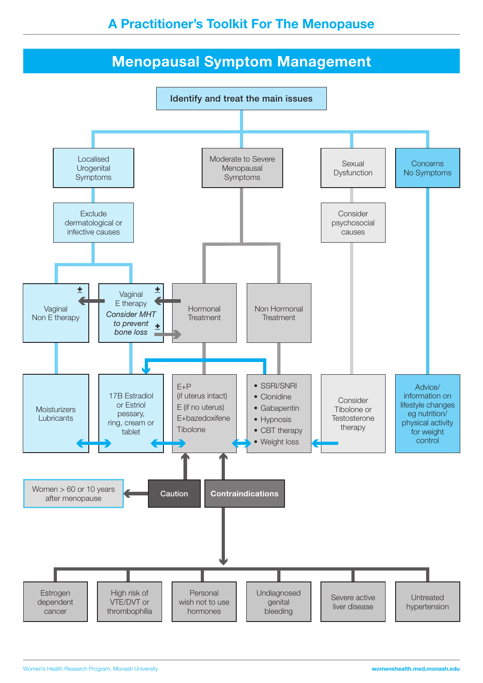## **A Practitioner's Toolkit For The Menopause**

# **Menopausal Symptom Management**

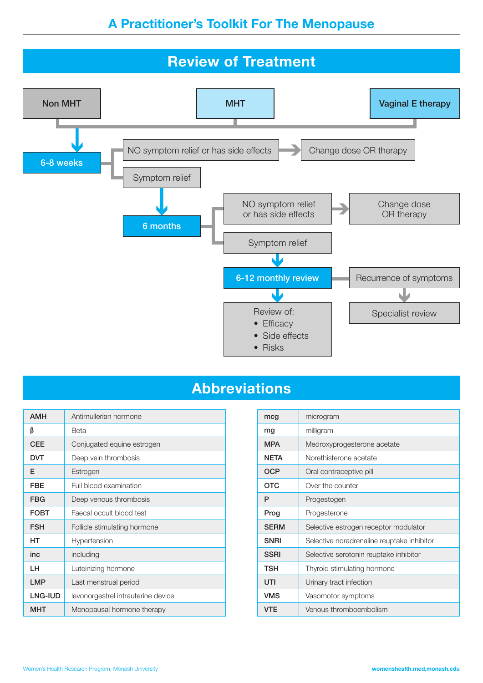

# **Abbreviations**

| <b>AMH</b>  | Antimullerian hormone              | mcg         | microgram                                  |
|-------------|------------------------------------|-------------|--------------------------------------------|
| β           | Beta                               | mg          | milligram                                  |
| <b>CEE</b>  | Conjugated equine estrogen         | <b>MPA</b>  | Medroxyprogesterone acetate                |
| <b>DVT</b>  | Deep vein thrombosis               | <b>NETA</b> | Norethisterone acetate                     |
| Е           | Estrogen                           | <b>OCP</b>  | Oral contraceptive pill                    |
| <b>FBE</b>  | Full blood examination             | <b>OTC</b>  | Over the counter                           |
| <b>FBG</b>  | Deep venous thrombosis             | P           | Progestogen                                |
| <b>FOBT</b> | Faecal occult blood test           | Prog        | Progesterone                               |
| <b>FSH</b>  | Follicle stimulating hormone       | <b>SERM</b> | Selective estrogen receptor modulator      |
| HT          | Hypertension                       | <b>SNRI</b> | Selective noradrenaline reuptake inhibitor |
| inc         | including                          | <b>SSRI</b> | Selective serotonin reuptake inhibitor     |
| LH.         | Luteinizing hormone                | <b>TSH</b>  | Thyroid stimulating hormone                |
| <b>LMP</b>  | Last menstrual period              | UTI         | Urinary tract infection                    |
| LNG-IUD     | levonorgestrel intrauterine device | <b>VMS</b>  | Vasomotor symptoms                         |
| <b>MHT</b>  | Menopausal hormone therapy         | <b>VTE</b>  | Venous thromboembolism                     |

| mcg         | microgram                                  |
|-------------|--------------------------------------------|
| mg          | milligram                                  |
| <b>MPA</b>  | Medroxyprogesterone acetate                |
| <b>NETA</b> | Norethisterone acetate                     |
| OCP         | Oral contraceptive pill                    |
| <b>OTC</b>  | Over the counter                           |
| P           | Progestogen                                |
| Prog        | Progesterone                               |
| <b>SERM</b> | Selective estrogen receptor modulator      |
| <b>SNRI</b> | Selective noradrenaline reuptake inhibitor |
| <b>SSRI</b> | Selective serotonin reuptake inhibitor     |
| TSH         | Thyroid stimulating hormone                |
| UTI         | Urinary tract infection                    |
| <b>VMS</b>  | Vasomotor symptoms                         |
| VTF         | Venous thromboembolism                     |